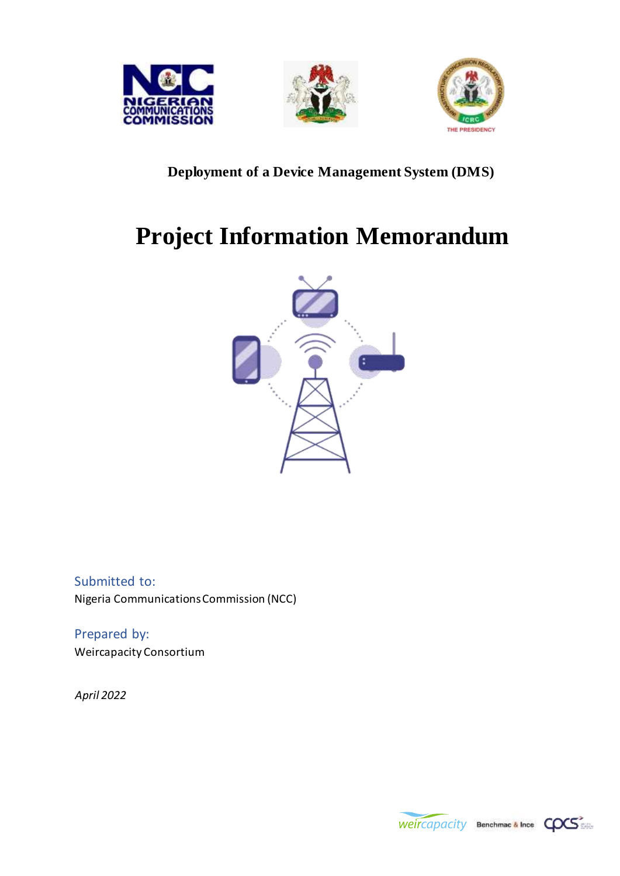





#### **Deployment of a Device Management System (DMS)**

# **Project Information Memorandum**



Submitted to: Nigeria Communications Commission (NCC)

Prepared by: Weircapacity Consortium

*April 2022* 

Weircapacity Benchmac & Ince COCS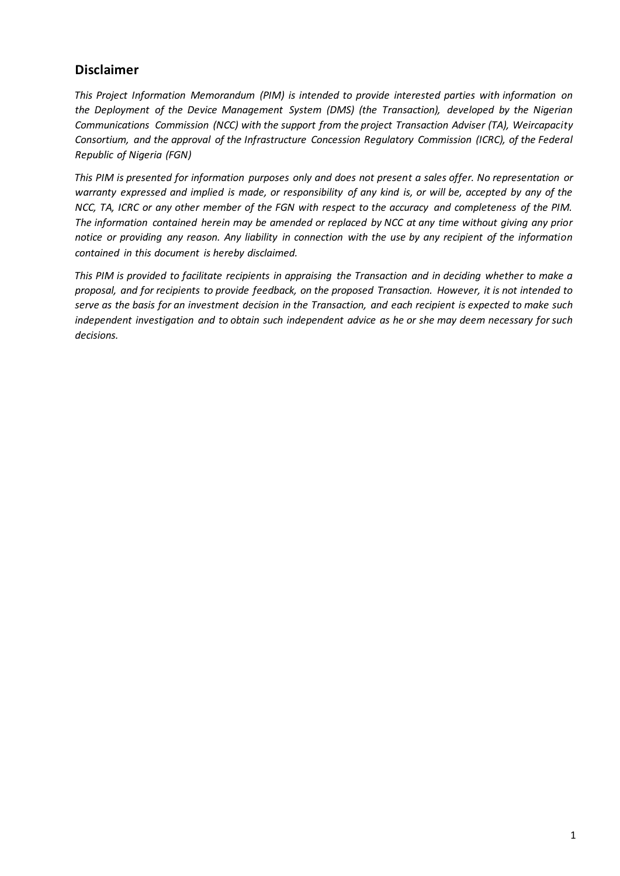#### **Disclaimer**

*This Project Information Memorandum (PIM) is intended to provide interested parties with information on the Deployment of the Device Management System (DMS) (the Transaction), developed by the Nigerian Communications Commission (NCC) with the support from the project Transaction Adviser (TA), Weircapacity Consortium, and the approval of the Infrastructure Concession Regulatory Commission (ICRC), of the Federal Republic of Nigeria (FGN)* 

*This PIM is presented for information purposes only and does not present a sales offer. No representation or warranty expressed and implied is made, or responsibility of any kind is, or will be, accepted by any of the NCC, TA, ICRC or any other member of the FGN with respect to the accuracy and completeness of the PIM. The information contained herein may be amended or replaced by NCC at any time without giving any prior notice or providing any reason. Any liability in connection with the use by any recipient of the information contained in this document is hereby disclaimed.* 

*This PIM is provided to facilitate recipients in appraising the Transaction and in deciding whether to make a proposal, and for recipients to provide feedback, on the proposed Transaction. However, it is not intended to serve as the basis for an investment decision in the Transaction, and each recipient is expected to make such independent investigation and to obtain such independent advice as he or she may deem necessary for such decisions.*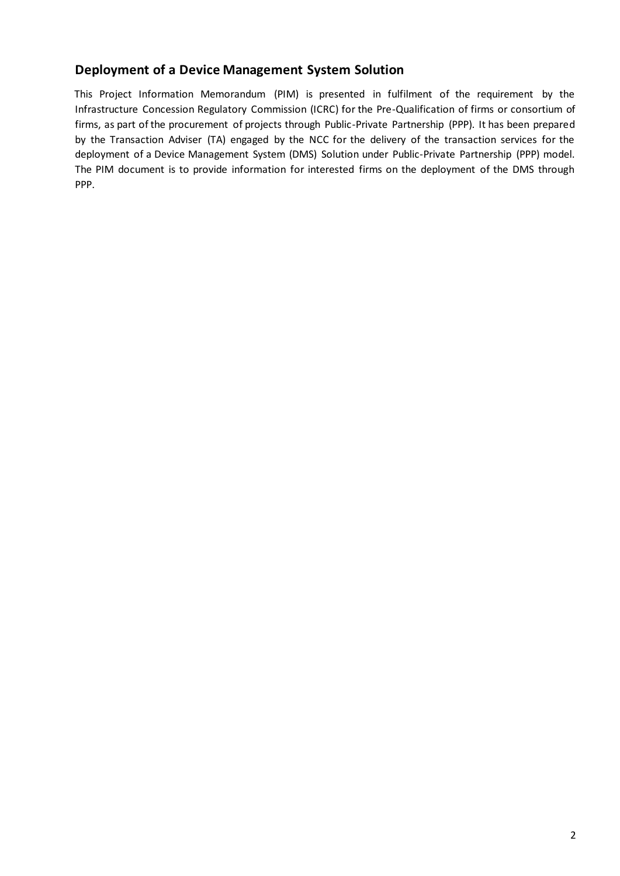#### **Deployment of a Device Management System Solution**

This Project Information Memorandum (PIM) is presented in fulfilment of the requirement by the Infrastructure Concession Regulatory Commission (ICRC) for the Pre-Qualification of firms or consortium of firms, as part of the procurement of projects through Public-Private Partnership (PPP). It has been prepared by the Transaction Adviser (TA) engaged by the NCC for the delivery of the transaction services for the deployment of a Device Management System (DMS) Solution under Public-Private Partnership (PPP) model. The PIM document is to provide information for interested firms on the deployment of the DMS through PPP.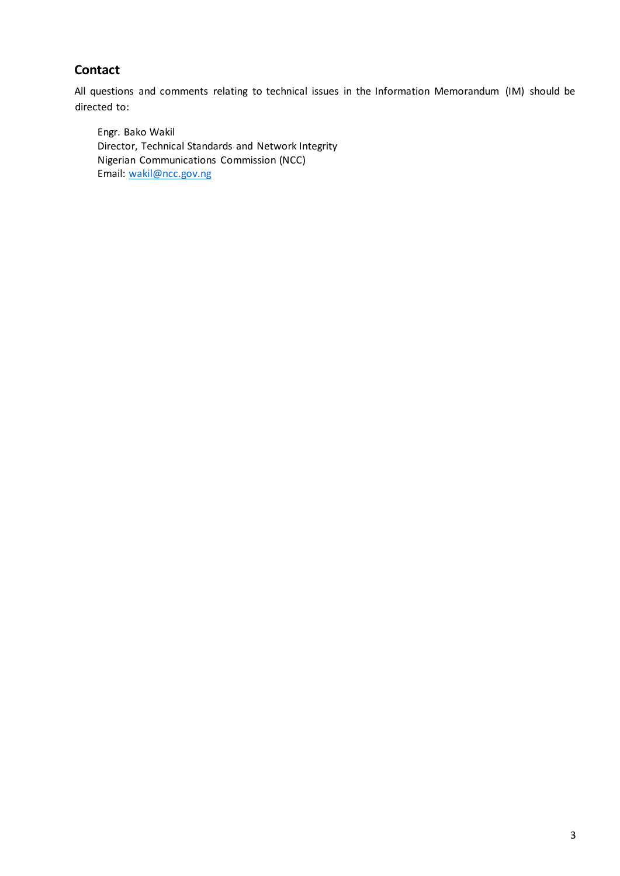#### **Contact**

All questions and comments relating to technical issues in the Information Memorandum (IM) should be directed to:

Engr. Bako Wakil Director, Technical Standards and Network Integrity Nigerian Communications Commission (NCC) Email: wakil@ncc.gov.ng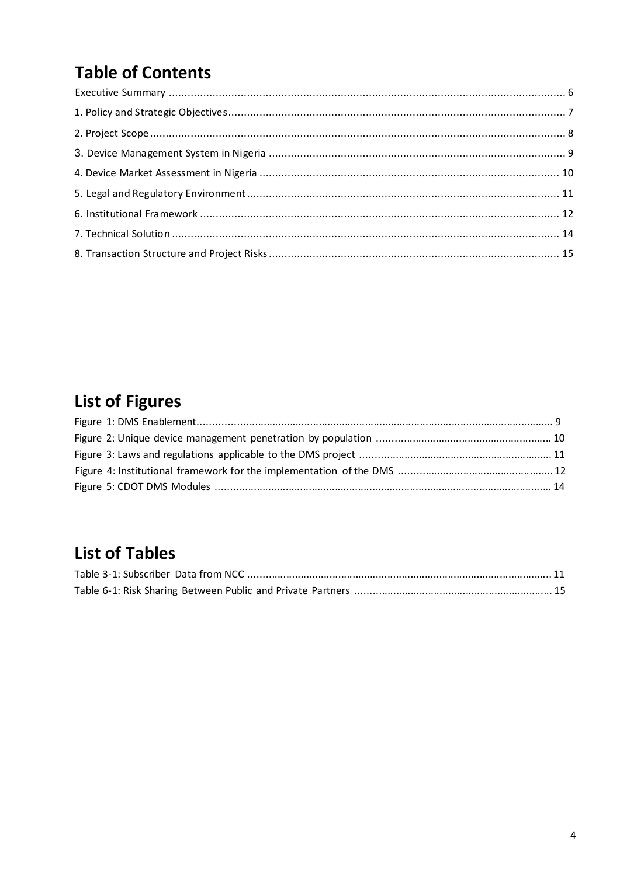# **Table of Contents**

# **List of Figures**

## **List of Tables**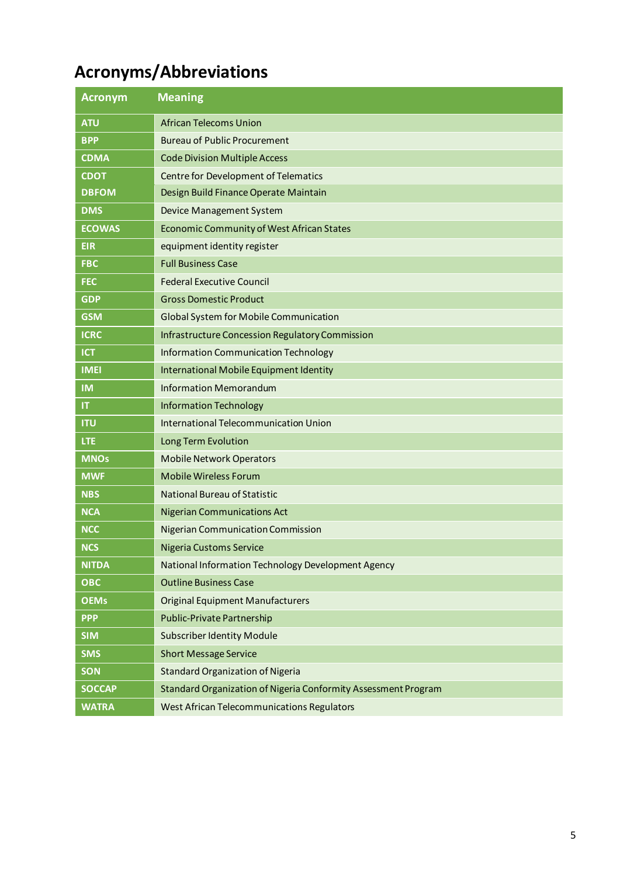# **Acronyms/Abbreviations**

| <b>Acronym</b> | <b>Meaning</b>                                                 |
|----------------|----------------------------------------------------------------|
| <b>ATU</b>     | <b>African Telecoms Union</b>                                  |
| <b>BPP</b>     | <b>Bureau of Public Procurement</b>                            |
| <b>CDMA</b>    | <b>Code Division Multiple Access</b>                           |
| <b>CDOT</b>    | Centre for Development of Telematics                           |
| <b>DBFOM</b>   | Design Build Finance Operate Maintain                          |
| <b>DMS</b>     | Device Management System                                       |
| <b>ECOWAS</b>  | <b>Economic Community of West African States</b>               |
| <b>EIR</b>     | equipment identity register                                    |
| <b>FBC</b>     | <b>Full Business Case</b>                                      |
| <b>FEC</b>     | <b>Federal Executive Council</b>                               |
| <b>GDP</b>     | <b>Gross Domestic Product</b>                                  |
| <b>GSM</b>     | <b>Global System for Mobile Communication</b>                  |
| <b>ICRC</b>    | <b>Infrastructure Concession Regulatory Commission</b>         |
| <b>ICT</b>     | <b>Information Communication Technology</b>                    |
| <b>IMEI</b>    | International Mobile Equipment Identity                        |
| <b>IM</b>      | <b>Information Memorandum</b>                                  |
| IT             | <b>Information Technology</b>                                  |
| <b>ITU</b>     | International Telecommunication Union                          |
| <b>LTE</b>     | Long Term Evolution                                            |
| <b>MNOs</b>    | <b>Mobile Network Operators</b>                                |
| <b>MWF</b>     | <b>Mobile Wireless Forum</b>                                   |
| <b>NBS</b>     | <b>National Bureau of Statistic</b>                            |
| <b>NCA</b>     | <b>Nigerian Communications Act</b>                             |
| NCC            | <b>Nigerian Communication Commission</b>                       |
| <b>NCS</b>     | <b>Nigeria Customs Service</b>                                 |
| <b>NITDA</b>   | National Information Technology Development Agency             |
| ОВС            | <b>Outline Business Case</b>                                   |
| <b>OEMs</b>    | <b>Original Equipment Manufacturers</b>                        |
| <b>PPP</b>     | Public-Private Partnership                                     |
| <b>SIM</b>     | <b>Subscriber Identity Module</b>                              |
| <b>SMS</b>     | <b>Short Message Service</b>                                   |
| <b>SON</b>     | <b>Standard Organization of Nigeria</b>                        |
| <b>SOCCAP</b>  | Standard Organization of Nigeria Conformity Assessment Program |
| <b>WATRA</b>   | <b>West African Telecommunications Regulators</b>              |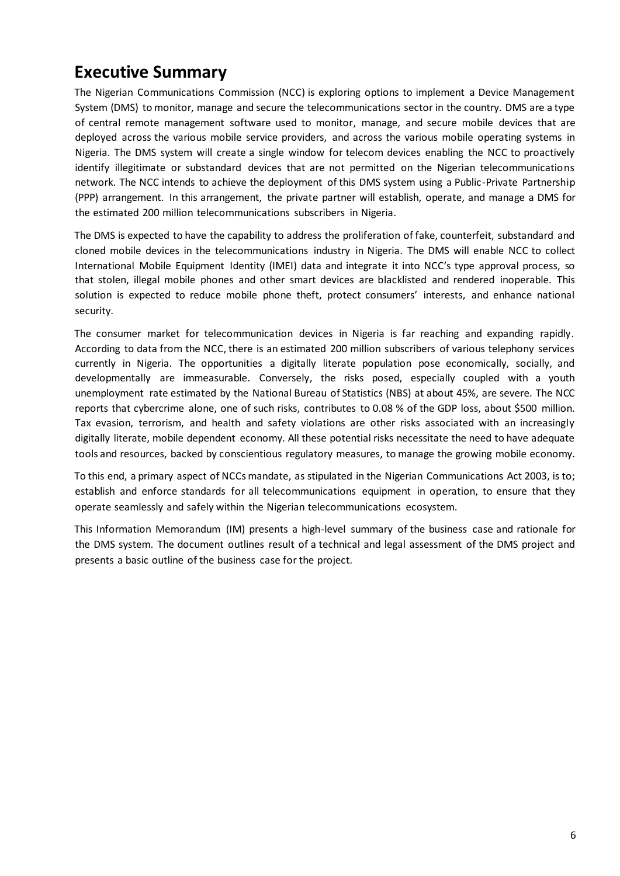### <span id="page-6-0"></span>**Executive Summary**

The Nigerian Communications Commission (NCC) is exploring options to implement a Device Management System (DMS) to monitor, manage and secure the telecommunications sector in the country. DMS are a type of central remote management software used to monitor, manage, and secure mobile devices that are deployed across the various mobile service providers, and across the various mobile operating systems in Nigeria. The DMS system will create a single window for telecom devices enabling the NCC to proactively identify illegitimate or substandard devices that are not permitted on the Nigerian telecommunications network. The NCC intends to achieve the deployment of this DMS system using a Public-Private Partnership (PPP) arrangement. In this arrangement, the private partner will establish, operate, and manage a DMS for the estimated 200 million telecommunications subscribers in Nigeria.

The DMS is expected to have the capability to address the proliferation of fake, counterfeit, substandard and cloned mobile devices in the telecommunications industry in Nigeria. The DMS will enable NCC to collect International Mobile Equipment Identity (IMEI) data and integrate it into NCC's type approval process, so that stolen, illegal mobile phones and other smart devices are blacklisted and rendered inoperable. This solution is expected to reduce mobile phone theft, protect consumers' interests, and enhance national security.

The consumer market for telecommunication devices in Nigeria is far reaching and expanding rapidly. According to data from the NCC, there is an estimated 200 million subscribers of various telephony services currently in Nigeria. The opportunities a digitally literate population pose economically, socially, and developmentally are immeasurable. Conversely, the risks posed, especially coupled with a youth unemployment rate estimated by the National Bureau of Statistics (NBS) at about 45%, are severe. The NCC reports that cybercrime alone, one of such risks, contributes to 0.08 % of the GDP loss, about \$500 million. Tax evasion, terrorism, and health and safety violations are other risks associated with an increasingly digitally literate, mobile dependent economy. All these potential risks necessitate the need to have adequate tools and resources, backed by conscientious regulatory measures, to manage the growing mobile economy.

To this end, a primary aspect of NCCs mandate, as stipulated in the Nigerian Communications Act 2003, is to; establish and enforce standards for all telecommunications equipment in operation, to ensure that they operate seamlessly and safely within the Nigerian telecommunications ecosystem.

This Information Memorandum (IM) presents a high-level summary of the business case and rationale for the DMS system. The document outlines result of a technical and legal assessment of the DMS project and presents a basic outline of the business case for the project.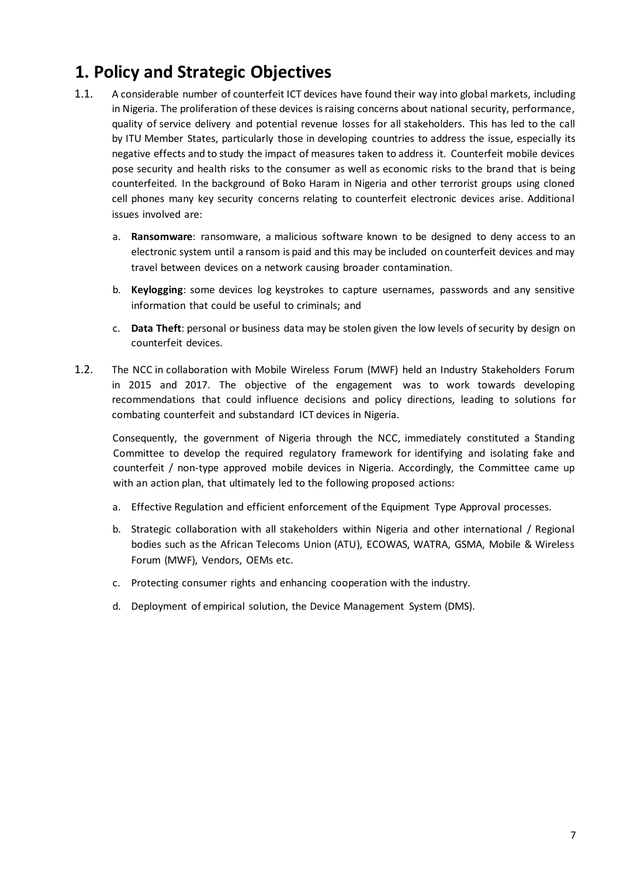### <span id="page-7-0"></span>**1. Policy and Strategic Objectives**

- 1.1. A considerable number of counterfeit ICT devices have found their way into global markets, including in Nigeria. The proliferation of these devices is raising concerns about national security, performance, quality of service delivery and potential revenue losses for all stakeholders. This has led to the call by ITU Member States, particularly those in developing countries to address the issue, especially its negative effects and to study the impact of measures taken to address it. Counterfeit mobile devices pose security and health risks to the consumer as well as economic risks to the brand that is being counterfeited. In the background of Boko Haram in Nigeria and other terrorist groups using cloned cell phones many key security concerns relating to counterfeit electronic devices arise. Additional issues involved are:
	- a. **Ransomware**: ransomware, a malicious software known to be designed to deny access to an electronic system until a ransom is paid and this may be included on counterfeit devices and may travel between devices on a network causing broader contamination.
	- b. **Keylogging**: some devices log keystrokes to capture usernames, passwords and any sensitive information that could be useful to criminals; and
	- c. **Data Theft**: personal or business data may be stolen given the low levels of security by design on counterfeit devices.
- 1.2. The NCC in collaboration with Mobile Wireless Forum (MWF) held an Industry Stakeholders Forum in 2015 and 2017. The objective of the engagement was to work towards developing recommendations that could influence decisions and policy directions, leading to solutions for combating counterfeit and substandard ICT devices in Nigeria.

Consequently, the government of Nigeria through the NCC, immediately constituted a Standing Committee to develop the required regulatory framework for identifying and isolating fake and counterfeit / non-type approved mobile devices in Nigeria. Accordingly, the Committee came up with an action plan, that ultimately led to the following proposed actions:

- a. Effective Regulation and efficient enforcement of the Equipment Type Approval processes.
- b. Strategic collaboration with all stakeholders within Nigeria and other international / Regional bodies such as the African Telecoms Union (ATU), ECOWAS, WATRA, GSMA, Mobile & Wireless Forum (MWF), Vendors, OEMs etc.
- c. Protecting consumer rights and enhancing cooperation with the industry.
- d. Deployment of empirical solution, the Device Management System (DMS).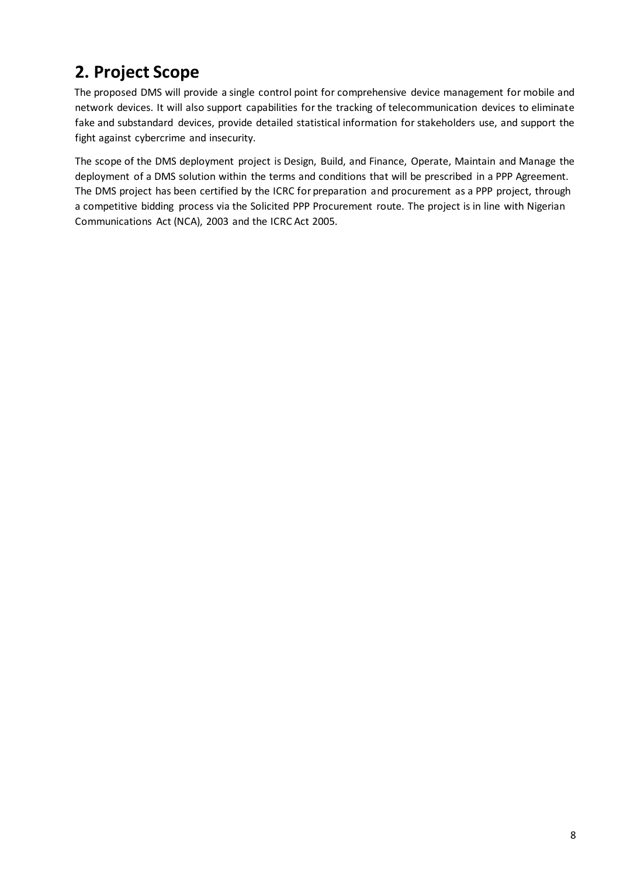# <span id="page-8-0"></span>**2. Project Scope**

The proposed DMS will provide a single control point for comprehensive device management for mobile and network devices. It will also support capabilities for the tracking of telecommunication devices to eliminate fake and substandard devices, provide detailed statistical information for stakeholders use, and support the fight against cybercrime and insecurity.

The scope of the DMS deployment project is Design, Build, and Finance, Operate, Maintain and Manage the deployment of a DMS solution within the terms and conditions that will be prescribed in a PPP Agreement. The DMS project has been certified by the ICRC for preparation and procurement as a PPP project, through a competitive bidding process via the Solicited PPP Procurement route. The project is in line with Nigerian Communications Act (NCA), 2003 and the ICRC Act 2005.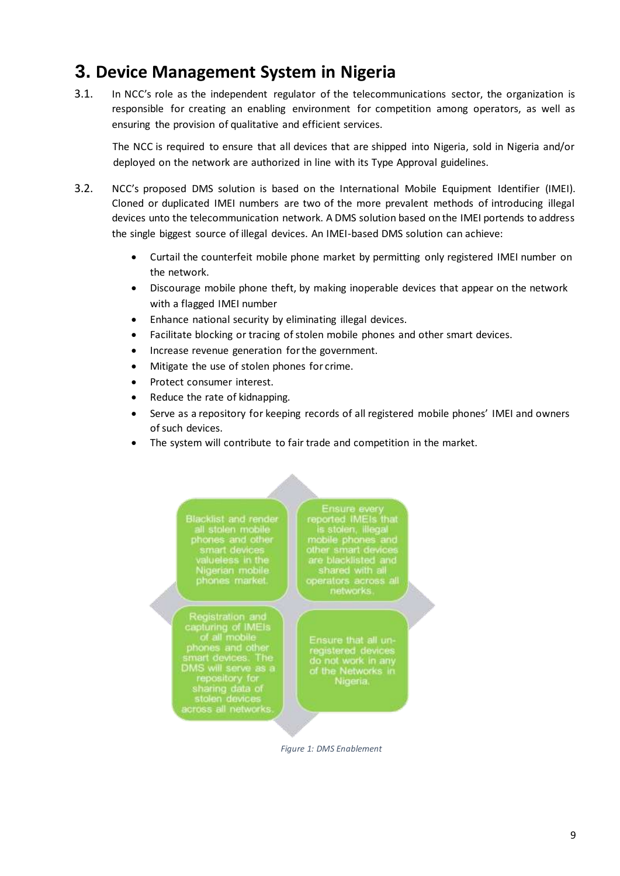### <span id="page-9-0"></span>**3. Device Management System in Nigeria**

3.1. In NCC's role as the independent regulator of the telecommunications sector, the organization is responsible for creating an enabling environment for competition among operators, as well as ensuring the provision of qualitative and efficient services.

The NCC is required to ensure that all devices that are shipped into Nigeria, sold in Nigeria and/or deployed on the network are authorized in line with its Type Approval guidelines.

- 3.2. NCC's proposed DMS solution is based on the International Mobile Equipment Identifier (IMEI). Cloned or duplicated IMEI numbers are two of the more prevalent methods of introducing illegal devices unto the telecommunication network. A DMS solution based on the IMEI portends to address the single biggest source of illegal devices. An IMEI-based DMS solution can achieve:
	- Curtail the counterfeit mobile phone market by permitting only registered IMEI number on the network.
	- Discourage mobile phone theft, by making inoperable devices that appear on the network with a flagged IMEI number
	- Enhance national security by eliminating illegal devices.
	- Facilitate blocking or tracing of stolen mobile phones and other smart devices.
	- Increase revenue generation for the government.
	- Mitigate the use of stolen phones for crime.
	- Protect consumer interest.
	- Reduce the rate of kidnapping.
	- Serve as a repository for keeping records of all registered mobile phones' IMEI and owners of such devices.
	- The system will contribute to fair trade and competition in the market.

Blacklist and render<br>all stolen mobile<br>phones and other<br>smart devices<br>valueless in the<br>Nigerian mobile<br>phones market.

Registration and<br>capturing of IMEIs<br>of all mobile<br>phones and other<br>smart devices. The smart devices. The<br>DMS will serve as a<br>repository for<br>sharing data of<br>stolen devices<br>across all networks.

Ensure every<br>eported IMEIs that<br>is stolen, illegal is stolen, illegal<br>mobile phones and<br>other smart devices<br>are blacklisted and<br>shared with all<br>operators across all<br>networks.

Ensure that all unregistered devices<br>do not work in any<br>of the Networks in<br>Nigeria.

<span id="page-9-1"></span> *Figure 1: DMS Enablement*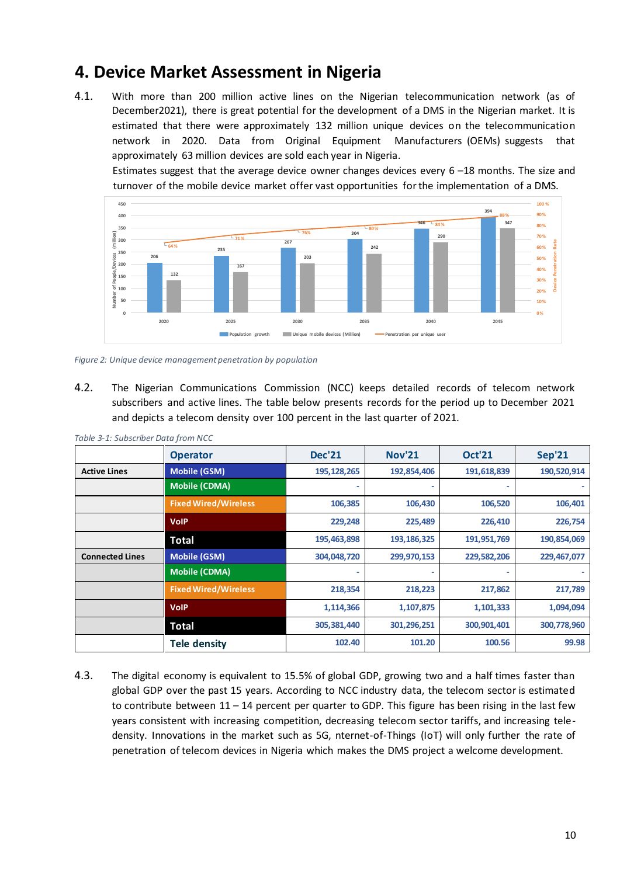### **4. Device Market Assessment in Nigeria**

4.1. With more than 200 million active lines on the Nigerian telecommunication network (as of December2021), there is great potential for the development of a DMS in the Nigerian market. It is estimated that there were approximately 132 million unique devices on the telecommunication network in 2020. Data from Original Equipment Manufacturers (OEMs) suggests that approximately 63 million devices are sold each year in Nigeria.

Estimates suggest that the average device owner changes devices every 6 –18 months. The size and turnover of the mobile device market offer vast opportunities for the implementation of a DMS.



*Figure 2: Unique device management penetration by population*

4.2. The Nigerian Communications Commission (NCC) keeps detailed records of telecom network subscribers and active lines. The table below presents records for the period up to December 2021 and depicts a telecom density over 100 percent in the last quarter of 2021.

|                        | <b>Operator</b>             | <b>Dec'21</b> | <b>Nov'21</b> | <b>Oct'21</b> | <b>Sep'21</b> |
|------------------------|-----------------------------|---------------|---------------|---------------|---------------|
| <b>Active Lines</b>    | <b>Mobile (GSM)</b>         | 195, 128, 265 | 192,854,406   | 191,618,839   | 190,520,914   |
|                        | Mobile (CDMA)               |               | ۰             |               |               |
|                        | <b>Fixed Wired/Wireless</b> | 106,385       | 106,430       | 106,520       | 106,401       |
|                        | <b>VolP</b>                 | 229,248       | 225,489       | 226,410       | 226,754       |
|                        | <b>Total</b>                | 195,463,898   | 193, 186, 325 | 191,951,769   | 190,854,069   |
| <b>Connected Lines</b> | <b>Mobile (GSM)</b>         | 304,048,720   | 299,970,153   | 229,582,206   | 229,467,077   |
|                        | <b>Mobile (CDMA)</b>        |               | ۰             |               |               |
|                        | <b>Fixed Wired/Wireless</b> | 218,354       | 218,223       | 217,862       | 217,789       |
|                        | <b>VolP</b>                 | 1,114,366     | 1,107,875     | 1,101,333     | 1,094,094     |
|                        | <b>Total</b>                | 305,381,440   | 301,296,251   | 300,901,401   | 300,778,960   |
|                        | <b>Tele density</b>         | 102.40        | 101.20        | 100.56        | 99.98         |

*Table 3-1: Subscriber Data from NCC* 

4.3. The digital economy is equivalent to 15.5% of global GDP, growing two and a half times faster than global GDP over the past 15 years. According to NCC industry data, the telecom sector is estimated to contribute between  $11 - 14$  percent per quarter to GDP. This figure has been rising in the last few years consistent with increasing competition, decreasing telecom sector tariffs, and increasing teledensity. Innovations in the market such as 5G, nternet-of-Things (IoT) will only further the rate of penetration of telecom devices in Nigeria which makes the DMS project a welcome development.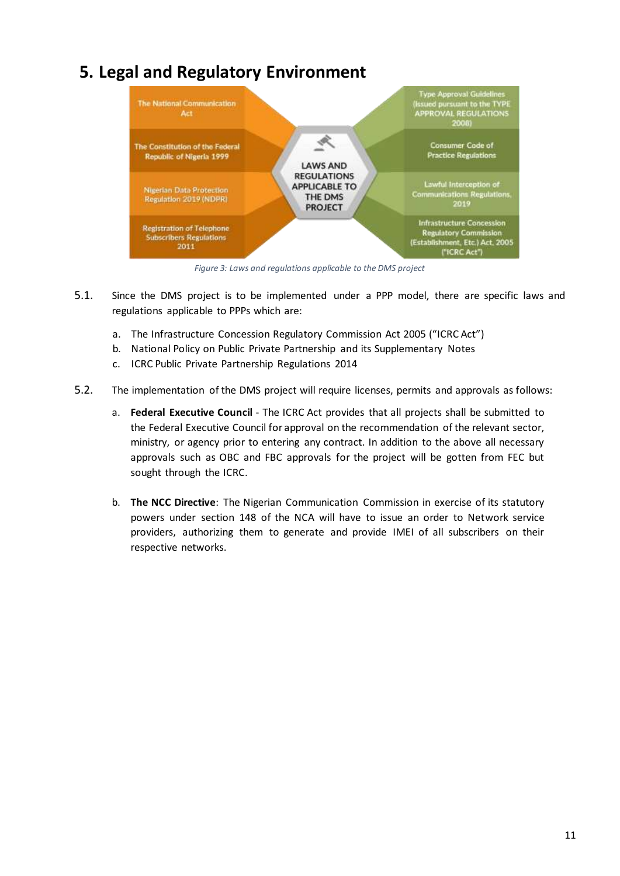### <span id="page-11-0"></span>**5. Legal and Regulatory Environment**



*Figure 3: Laws and regulations applicable to the DMS project* 

- 5.1. Since the DMS project is to be implemented under a PPP model, there are specific laws and regulations applicable to PPPs which are:
	- a. The Infrastructure Concession Regulatory Commission Act 2005 ("ICRC Act")
	- b. National Policy on Public Private Partnership and its Supplementary Notes
	- c. ICRC Public Private Partnership Regulations 2014
- 5.2. The implementation of the DMS project will require licenses, permits and approvals as follows:
	- a. **Federal Executive Council** The ICRC Act provides that all projects shall be submitted to the Federal Executive Council for approval on the recommendation of the relevant sector, ministry, or agency prior to entering any contract. In addition to the above all necessary approvals such as OBC and FBC approvals for the project will be gotten from FEC but sought through the ICRC.
	- b. **The NCC Directive**: The Nigerian Communication Commission in exercise of its statutory powers under section 148 of the NCA will have to issue an order to Network service providers, authorizing them to generate and provide IMEI of all subscribers on their respective networks.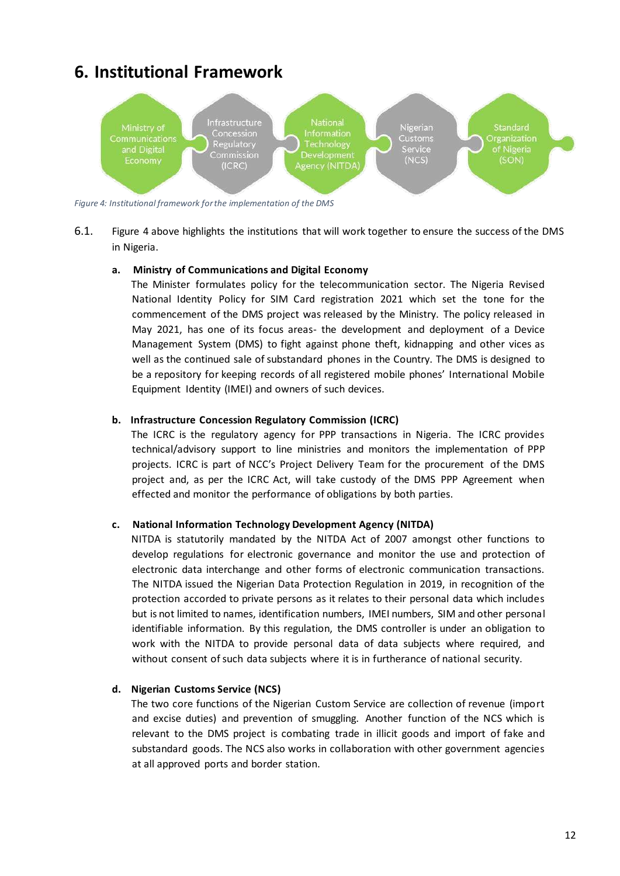### <span id="page-12-0"></span>**6. Institutional Framework**



*Figure 4: Institutional framework for the implementation of the DMS* 

6.1. Figure 4 above highlights the institutions that will work together to ensure the success of the DMS in Nigeria.

#### **a. Ministry of Communications and Digital Economy**

The Minister formulates policy for the telecommunication sector. The Nigeria Revised National Identity Policy for SIM Card registration 2021 which set the tone for the commencement of the DMS project was released by the Ministry. The policy released in May 2021, has one of its focus areas- the development and deployment of a Device Management System (DMS) to fight against phone theft, kidnapping and other vices as well as the continued sale of substandard phones in the Country. The DMS is designed to be a repository for keeping records of all registered mobile phones' International Mobile Equipment Identity (IMEI) and owners of such devices.

#### **b. Infrastructure Concession Regulatory Commission (ICRC)**

The ICRC is the regulatory agency for PPP transactions in Nigeria. The ICRC provides technical/advisory support to line ministries and monitors the implementation of PPP projects. ICRC is part of NCC's Project Delivery Team for the procurement of the DMS project and, as per the ICRC Act, will take custody of the DMS PPP Agreement when effected and monitor the performance of obligations by both parties.

#### **c. National Information Technology Development Agency (NITDA)**

NITDA is statutorily mandated by the NITDA Act of 2007 amongst other functions to develop regulations for electronic governance and monitor the use and protection of electronic data interchange and other forms of electronic communication transactions. The NITDA issued the Nigerian Data Protection Regulation in 2019, in recognition of the protection accorded to private persons as it relates to their personal data which includes but is not limited to names, identification numbers, IMEI numbers, SIM and other personal identifiable information. By this regulation, the DMS controller is under an obligation to work with the NITDA to provide personal data of data subjects where required, and without consent of such data subjects where it is in furtherance of national security.

#### **d. Nigerian Customs Service (NCS)**

The two core functions of the Nigerian Custom Service are collection of revenue (import and excise duties) and prevention of smuggling. Another function of the NCS which is relevant to the DMS project is combating trade in illicit goods and import of fake and substandard goods. The NCS also works in collaboration with other government agencies at all approved ports and border station.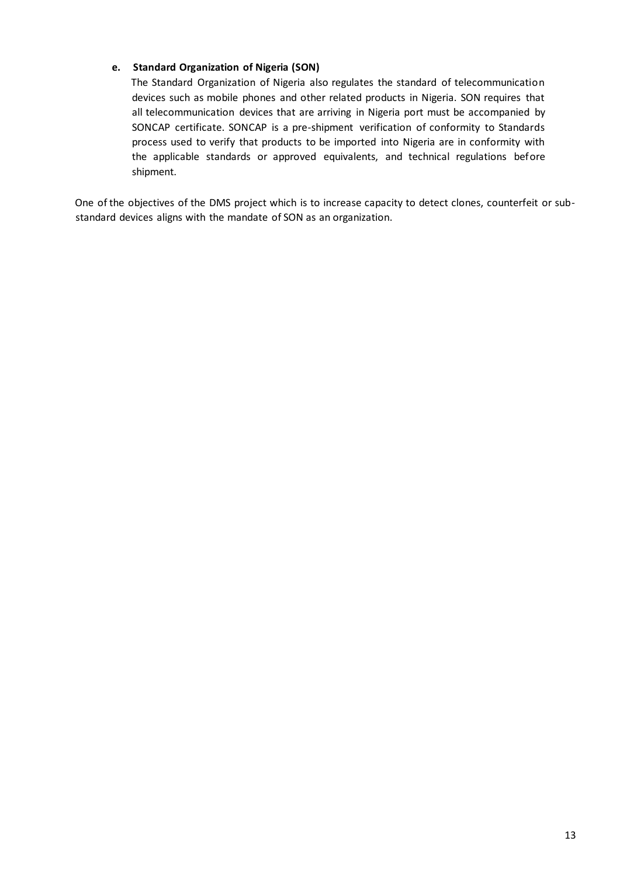#### **e. Standard Organization of Nigeria (SON)**

The Standard Organization of Nigeria also regulates the standard of telecommunication devices such as mobile phones and other related products in Nigeria. SON requires that all telecommunication devices that are arriving in Nigeria port must be accompanied by SONCAP certificate. SONCAP is a pre-shipment verification of conformity to Standards process used to verify that products to be imported into Nigeria are in conformity with the applicable standards or approved equivalents, and technical regulations before shipment.

One of the objectives of the DMS project which is to increase capacity to detect clones, counterfeit or substandard devices aligns with the mandate of SON as an organization.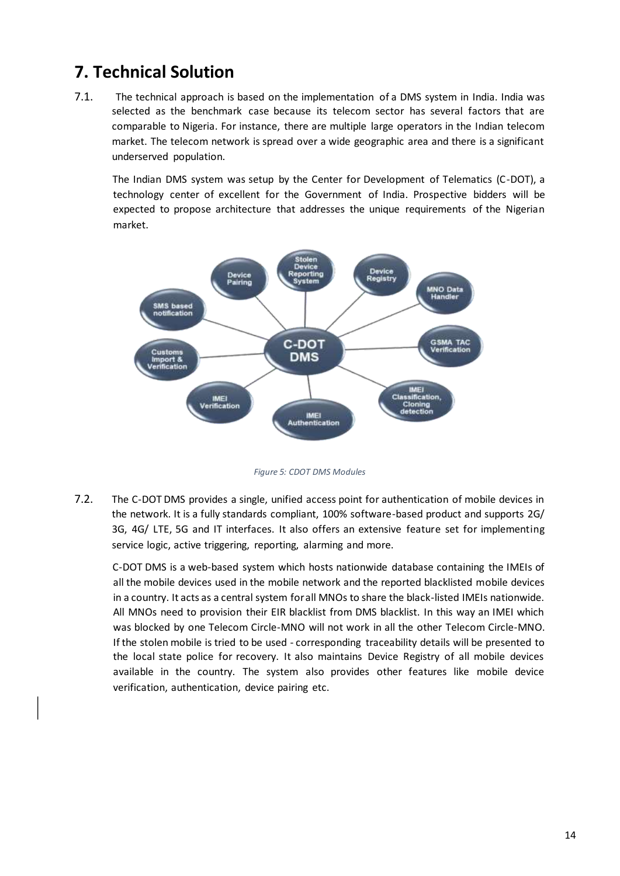### <span id="page-14-0"></span>**7. Technical Solution**

7.1. The technical approach is based on the implementation of a DMS system in India. India was selected as the benchmark case because its telecom sector has several factors that are comparable to Nigeria. For instance, there are multiple large operators in the Indian telecom market. The telecom network is spread over a wide geographic area and there is a significant underserved population.

The Indian DMS system was setup by the Center for Development of Telematics (C-DOT), a technology center of excellent for the Government of India. Prospective bidders will be expected to propose architecture that addresses the unique requirements of the Nigerian market.



*Figure 5: CDOT DMS Modules* 

7.2. The C-DOT DMS provides a single, unified access point for authentication of mobile devices in the network. It is a fully standards compliant, 100% software-based product and supports 2G/ 3G, 4G/ LTE, 5G and IT interfaces. It also offers an extensive feature set for implementing service logic, active triggering, reporting, alarming and more.

C-DOT DMS is a web-based system which hosts nationwide database containing the IMEIs of all the mobile devices used in the mobile network and the reported blacklisted mobile devices in a country. It acts as a central system for all MNOs to share the black-listed IMEIs nationwide. All MNOs need to provision their EIR blacklist from DMS blacklist. In this way an IMEI which was blocked by one Telecom Circle-MNO will not work in all the other Telecom Circle-MNO. If the stolen mobile is tried to be used - corresponding traceability details will be presented to the local state police for recovery. It also maintains Device Registry of all mobile devices available in the country. The system also provides other features like mobile device verification, authentication, device pairing etc.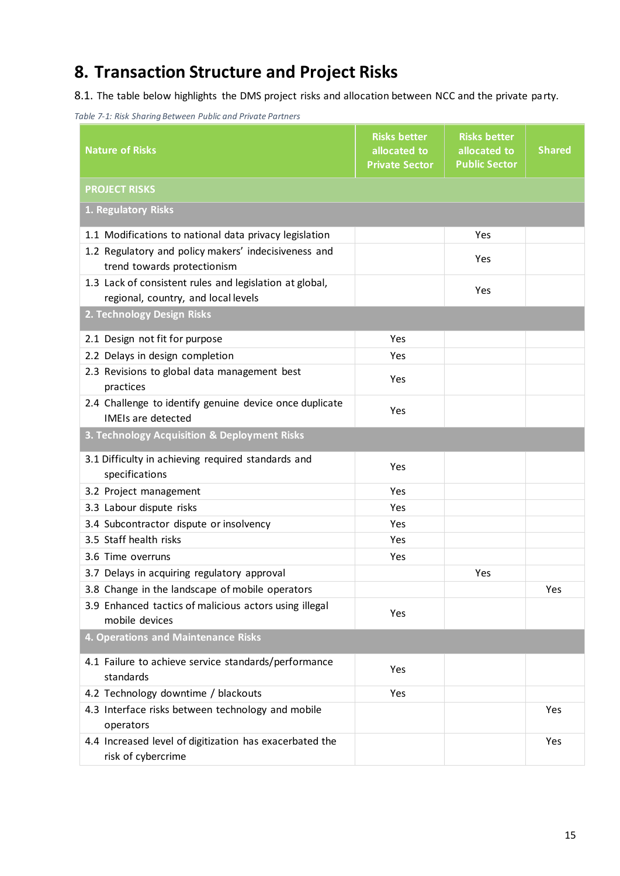### <span id="page-15-0"></span>**8. Transaction Structure and Project Risks**

8.1. The table below highlights the DMS project risks and allocation between NCC and the private party.



| <b>Nature of Risks</b>                                                               | <b>Risks better</b><br>allocated to<br><b>Private Sector</b> | <b>Risks better</b><br>allocated to<br><b>Public Sector</b> | <b>Shared</b> |
|--------------------------------------------------------------------------------------|--------------------------------------------------------------|-------------------------------------------------------------|---------------|
| <b>PROJECT RISKS</b>                                                                 |                                                              |                                                             |               |
| 1. Regulatory Risks                                                                  |                                                              |                                                             |               |
| 1.1 Modifications to national data privacy legislation                               |                                                              | Yes                                                         |               |
| 1.2 Regulatory and policy makers' indecisiveness and                                 |                                                              | Yes                                                         |               |
| trend towards protectionism                                                          |                                                              |                                                             |               |
| 1.3 Lack of consistent rules and legislation at global,                              |                                                              | Yes                                                         |               |
| regional, country, and local levels                                                  |                                                              |                                                             |               |
| 2. Technology Design Risks                                                           |                                                              |                                                             |               |
| 2.1 Design not fit for purpose                                                       | Yes                                                          |                                                             |               |
| 2.2 Delays in design completion                                                      | Yes                                                          |                                                             |               |
| 2.3 Revisions to global data management best<br>practices                            | Yes                                                          |                                                             |               |
| 2.4 Challenge to identify genuine device once duplicate<br><b>IMEIs are detected</b> | Yes                                                          |                                                             |               |
| 3. Technology Acquisition & Deployment Risks                                         |                                                              |                                                             |               |
| 3.1 Difficulty in achieving required standards and<br>specifications                 | Yes                                                          |                                                             |               |
| 3.2 Project management                                                               | Yes                                                          |                                                             |               |
| 3.3 Labour dispute risks                                                             | Yes                                                          |                                                             |               |
| 3.4 Subcontractor dispute or insolvency                                              | Yes                                                          |                                                             |               |
| 3.5 Staff health risks                                                               | Yes                                                          |                                                             |               |
| 3.6 Time overruns                                                                    | Yes                                                          |                                                             |               |
| 3.7 Delays in acquiring regulatory approval                                          |                                                              | Yes                                                         |               |
| 3.8 Change in the landscape of mobile operators                                      |                                                              |                                                             | Yes           |
| 3.9 Enhanced tactics of malicious actors using illegal<br>mobile devices             | Yes                                                          |                                                             |               |
| 4. Operations and Maintenance Risks                                                  |                                                              |                                                             |               |
| 4.1 Failure to achieve service standards/performance<br>standards                    | Yes                                                          |                                                             |               |
| 4.2 Technology downtime / blackouts                                                  | Yes                                                          |                                                             |               |
| 4.3 Interface risks between technology and mobile<br>operators                       |                                                              |                                                             | Yes           |
| 4.4 Increased level of digitization has exacerbated the<br>risk of cybercrime        |                                                              |                                                             | Yes           |